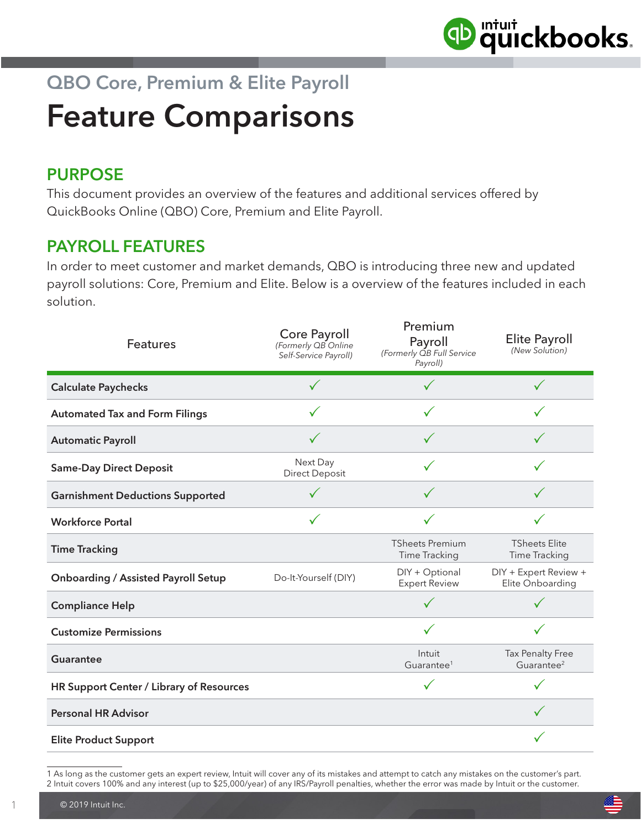

## QBO Core, Premium & Elite Payroll Feature Comparisons

## PURPOSE

This document provides an overview of the features and additional services offered by QuickBooks Online (QBO) Core, Premium and Elite Payroll.

## PAYROLL FEATURES

In order to meet customer and market demands, QBO is introducing three new and updated payroll solutions: Core, Premium and Elite. Below is a overview of the features included in each solution.

| <b>Features</b>                            | Core Payroll<br>(Formerly QB Online<br>Self-Service Payroll) | Premium<br>Payroll<br>(Formerly OB Full Service<br>Payroll) | Elite Payroll<br>(New Solution)                   |
|--------------------------------------------|--------------------------------------------------------------|-------------------------------------------------------------|---------------------------------------------------|
| <b>Calculate Paychecks</b>                 |                                                              |                                                             |                                                   |
| <b>Automated Tax and Form Filings</b>      | ✓                                                            |                                                             |                                                   |
| <b>Automatic Payroll</b>                   | $\checkmark$                                                 | $\checkmark$                                                | $\checkmark$                                      |
| <b>Same-Day Direct Deposit</b>             | Next Day<br><b>Direct Deposit</b>                            |                                                             |                                                   |
| <b>Garnishment Deductions Supported</b>    |                                                              |                                                             |                                                   |
| <b>Workforce Portal</b>                    | ✓                                                            |                                                             |                                                   |
| <b>Time Tracking</b>                       |                                                              | <b>TSheets Premium</b><br>Time Tracking                     | <b>TSheets Elite</b><br>Time Tracking             |
| <b>Onboarding / Assisted Payroll Setup</b> | Do-It-Yourself (DIY)                                         | DIY + Optional<br><b>Expert Review</b>                      | DIY + Expert Review +<br>Elite Onboarding         |
| <b>Compliance Help</b>                     |                                                              |                                                             |                                                   |
| <b>Customize Permissions</b>               |                                                              |                                                             |                                                   |
| <b>Guarantee</b>                           |                                                              | Intuit<br>Guarantee <sup>1</sup>                            | <b>Tax Penalty Free</b><br>Guarantee <sup>2</sup> |
| HR Support Center / Library of Resources   |                                                              | $\checkmark$                                                |                                                   |
| <b>Personal HR Advisor</b>                 |                                                              |                                                             |                                                   |
| <b>Elite Product Support</b>               |                                                              |                                                             |                                                   |

<sup>1</sup> As long as the customer gets an expert review, Intuit will cover any of its mistakes and attempt to catch any mistakes on the customer's part. 2 Intuit covers 100% and any interest (up to \$25,000/year) of any IRS/Payroll penalties, whether the error was made by Intuit or the customer.